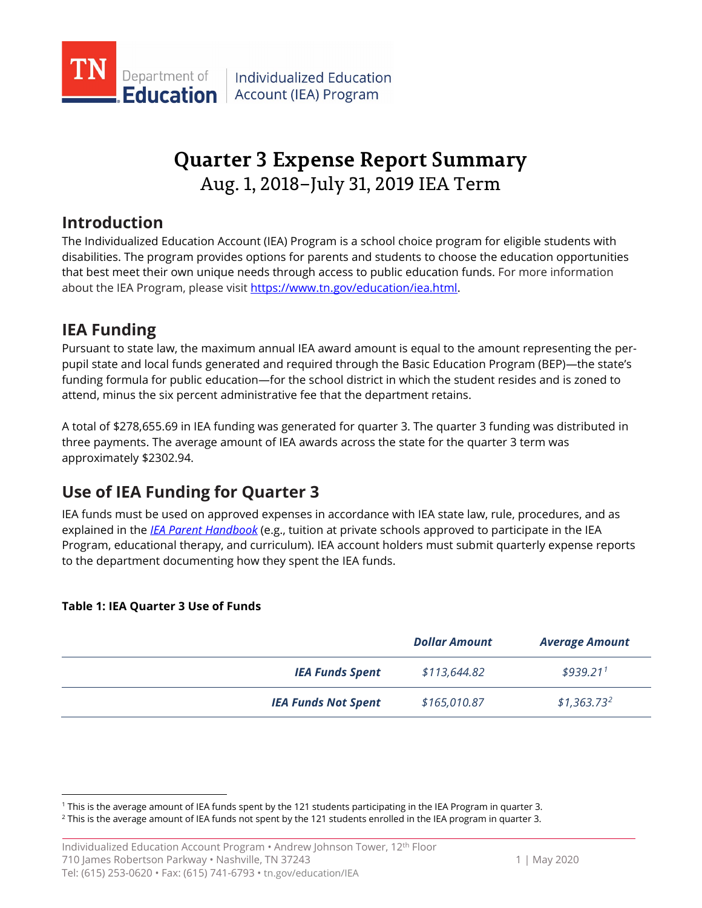

# Aug. 1, 2018–July 31, 2019 IEA Term **Quarter 3 Expense Report Summary**

## **Introduction**

The Individualized Education Account (IEA) Program is a school choice program for eligible students with disabilities. The program provides options for parents and students to choose the education opportunities that best meet their own unique needs through access to public education funds. For more information about the IEA Program, please visi[t https://www.tn.gov/education/iea.html.](https://www.tn.gov/education/iea.html)

## **IEA Funding**

attend, minus the six percent administrative fee that the department retains. Pursuant to state law, the maximum annual IEA award amount is equal to the amount representing the perpupil state and local funds generated and required through the Basic Education Program (BEP)—the state's funding formula for public education—for the school district in which the student resides and is zoned to

 approximately \$2302.94. A total of [\\$278,655.69](https://278,655.69) in IEA funding was generated for quarter 3. The quarter 3 funding was distributed in three payments. The average amount of IEA awards across the state for the quarter 3 term was

## **Use of IEA Funding for Quarter 3**

IEA funds must be used on approved expenses in accordance with IEA state law, rule, procedures, and as explained in the *[IEA Parent Handbook](https://www.tn.gov/education/iea/iea-resources.html)* (e.g., tuition at private schools approved to participate in the IEA Program, educational therapy, and curriculum). IEA account holders must submit quarterly expense reports to the department documenting how they spent the IEA funds.

### **Table 1: IEA Quarter 3 Use of Funds**

-

|                            | <b>Dollar Amount</b> | <b>Average Amount</b>  |
|----------------------------|----------------------|------------------------|
| <b>IEA Funds Spent</b>     | \$113,644.82         | $$939.21$ <sup>1</sup> |
| <b>IEA Funds Not Spent</b> | \$165,010.87         | $$1,363.73^2$          |

<span id="page-0-1"></span><span id="page-0-0"></span><sup>&</sup>lt;sup>1</sup> This is the average amount of IEA funds spent by the 121 students participating in the IEA Program in quarter 3.

<sup>&</sup>lt;sup>1</sup> This is the average amount of IEA funds spent by the 121 students participating in the IEA Program in quarter 3.<br><sup>2</sup> This is the average amount of IEA funds not spent by the 121 students enrolled in the IEA program in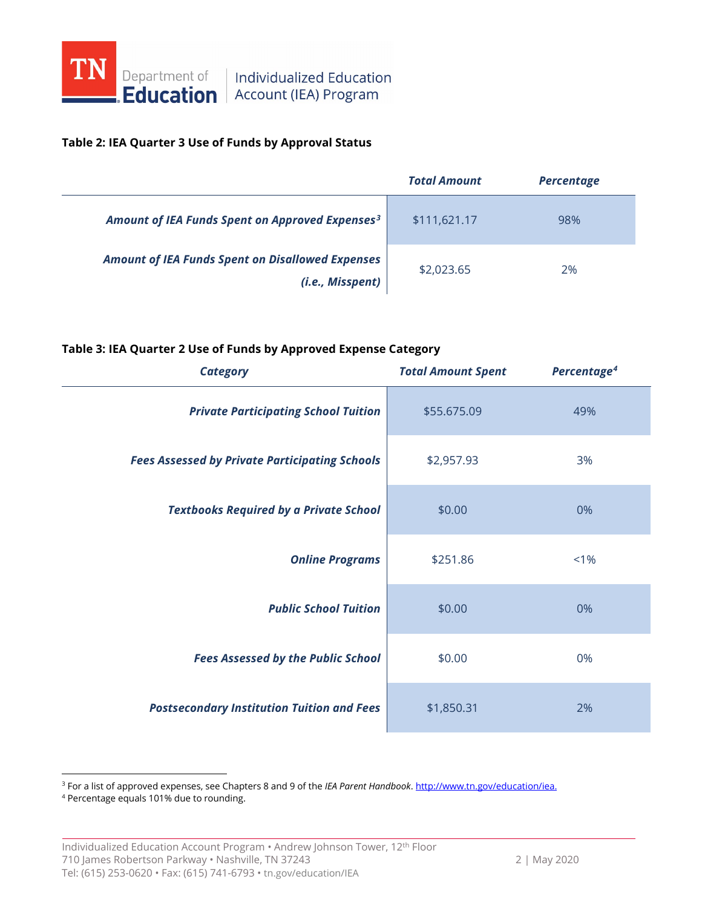

#### **Table 2: IEA Quarter 3 Use of Funds by Approval Status**

|                                                                             | <b>Total Amount</b> | <b>Percentage</b> |
|-----------------------------------------------------------------------------|---------------------|-------------------|
| Amount of IEA Funds Spent on Approved Expenses <sup>3</sup>                 | \$111,621.17        | 98%               |
| <b>Amount of IEA Funds Spent on Disallowed Expenses</b><br>(i.e., Misspent) | \$2,023.65          | 2%                |

#### **Table 3: IEA Quarter 2 Use of Funds by Approved Expense Category**

| <b>Category</b>                                       | <b>Total Amount Spent</b> | Percentage <sup>4</sup> |
|-------------------------------------------------------|---------------------------|-------------------------|
| <b>Private Participating School Tuition</b>           | \$55.675.09               | 49%                     |
| <b>Fees Assessed by Private Participating Schools</b> | \$2,957.93                | 3%                      |
| <b>Textbooks Required by a Private School</b>         | \$0.00                    | 0%                      |
| <b>Online Programs</b>                                | \$251.86                  | $< 1\%$                 |
| <b>Public School Tuition</b>                          | \$0.00                    | 0%                      |
| <b>Fees Assessed by the Public School</b>             | \$0.00                    | 0%                      |
| <b>Postsecondary Institution Tuition and Fees</b>     | \$1,850.31                | 2%                      |

<span id="page-1-0"></span><sup>3</sup> For a list of approved expenses, see Chapters 8 and 9 of the *IEA Parent Handbook*. <u>http://www.tn.gov/education/iea.</u><br><sup>4</sup> Percentage equals 101% due to rounding.

<span id="page-1-1"></span>

 $\overline{\phantom{a}}$